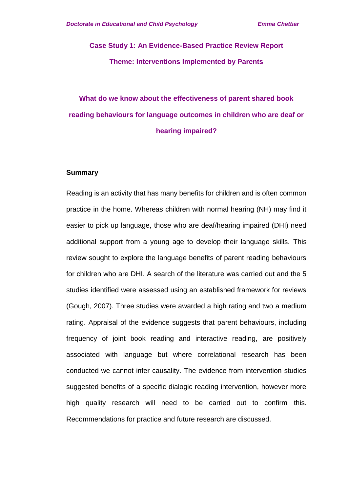# **Case Study 1: An Evidence-Based Practice Review Report Theme: Interventions Implemented by Parents**

# **What do we know about the effectiveness of parent shared book reading behaviours for language outcomes in children who are deaf or hearing impaired?**

#### **Summary**

Reading is an activity that has many benefits for children and is often common practice in the home. Whereas children with normal hearing (NH) may find it easier to pick up language, those who are deaf/hearing impaired (DHI) need additional support from a young age to develop their language skills. This review sought to explore the language benefits of parent reading behaviours for children who are DHI. A search of the literature was carried out and the 5 studies identified were assessed using an established framework for reviews (Gough, 2007). Three studies were awarded a high rating and two a medium rating. Appraisal of the evidence suggests that parent behaviours, including frequency of joint book reading and interactive reading, are positively associated with language but where correlational research has been conducted we cannot infer causality. The evidence from intervention studies suggested benefits of a specific dialogic reading intervention, however more high quality research will need to be carried out to confirm this. Recommendations for practice and future research are discussed.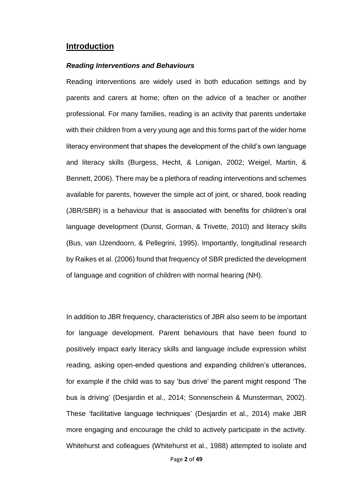#### **Introduction**

#### *Reading Interventions and Behaviours*

Reading interventions are widely used in both education settings and by parents and carers at home; often on the advice of a teacher or another professional. For many families, reading is an activity that parents undertake with their children from a very young age and this forms part of the wider home literacy environment that shapes the development of the child's own language and literacy skills (Burgess, Hecht, & Lonigan, 2002; Weigel, Martin, & Bennett, 2006). There may be a plethora of reading interventions and schemes available for parents, however the simple act of joint, or shared, book reading (JBR/SBR) is a behaviour that is associated with benefits for children's oral language development (Dunst, Gorman, & Trivette, 2010) and literacy skills (Bus, van IJzendoorn, & Pellegrini, 1995). Importantly, longitudinal research by Raikes et al. (2006) found that frequency of SBR predicted the development of language and cognition of children with normal hearing (NH).

In addition to JBR frequency, characteristics of JBR also seem to be important for language development. Parent behaviours that have been found to positively impact early literacy skills and language include expression whilst reading, asking open-ended questions and expanding children's utterances, for example if the child was to say 'bus drive' the parent might respond 'The bus is driving' (Desjardin et al., 2014; Sonnenschein & Munsterman, 2002). These 'facilitative language techniques' (Desjardin et al., 2014) make JBR more engaging and encourage the child to actively participate in the activity. Whitehurst and colleagues (Whitehurst et al., 1988) attempted to isolate and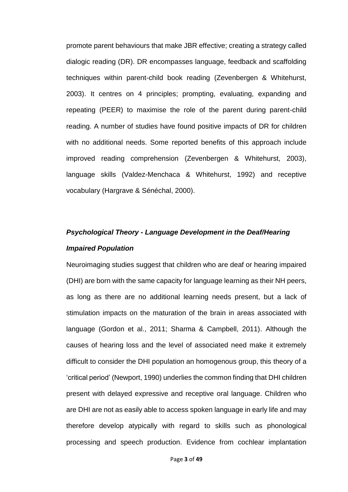promote parent behaviours that make JBR effective; creating a strategy called dialogic reading (DR). DR encompasses language, feedback and scaffolding techniques within parent-child book reading (Zevenbergen & Whitehurst, 2003). It centres on 4 principles; prompting, evaluating, expanding and repeating (PEER) to maximise the role of the parent during parent-child reading. A number of studies have found positive impacts of DR for children with no additional needs. Some reported benefits of this approach include improved reading comprehension (Zevenbergen & Whitehurst, 2003), language skills (Valdez-Menchaca & Whitehurst, 1992) and receptive vocabulary (Hargrave & Sénéchal, 2000).

# *Psychological Theory - Language Development in the Deaf/Hearing Impaired Population*

Neuroimaging studies suggest that children who are deaf or hearing impaired (DHI) are born with the same capacity for language learning as their NH peers, as long as there are no additional learning needs present, but a lack of stimulation impacts on the maturation of the brain in areas associated with language (Gordon et al., 2011; Sharma & Campbell, 2011). Although the causes of hearing loss and the level of associated need make it extremely difficult to consider the DHI population an homogenous group, this theory of a 'critical period' (Newport, 1990) underlies the common finding that DHI children present with delayed expressive and receptive oral language. Children who are DHI are not as easily able to access spoken language in early life and may therefore develop atypically with regard to skills such as phonological processing and speech production. Evidence from cochlear implantation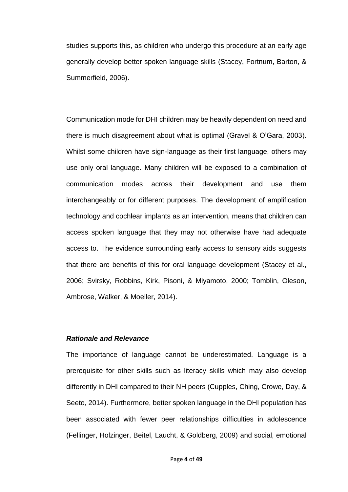studies supports this, as children who undergo this procedure at an early age generally develop better spoken language skills (Stacey, Fortnum, Barton, & Summerfield, 2006).

Communication mode for DHI children may be heavily dependent on need and there is much disagreement about what is optimal (Gravel & O'Gara, 2003). Whilst some children have sign-language as their first language, others may use only oral language. Many children will be exposed to a combination of communication modes across their development and use them interchangeably or for different purposes. The development of amplification technology and cochlear implants as an intervention, means that children can access spoken language that they may not otherwise have had adequate access to. The evidence surrounding early access to sensory aids suggests that there are benefits of this for oral language development (Stacey et al., 2006; Svirsky, Robbins, Kirk, Pisoni, & Miyamoto, 2000; Tomblin, Oleson, Ambrose, Walker, & Moeller, 2014).

#### *Rationale and Relevance*

The importance of language cannot be underestimated. Language is a prerequisite for other skills such as literacy skills which may also develop differently in DHI compared to their NH peers (Cupples, Ching, Crowe, Day, & Seeto, 2014). Furthermore, better spoken language in the DHI population has been associated with fewer peer relationships difficulties in adolescence (Fellinger, Holzinger, Beitel, Laucht, & Goldberg, 2009) and social, emotional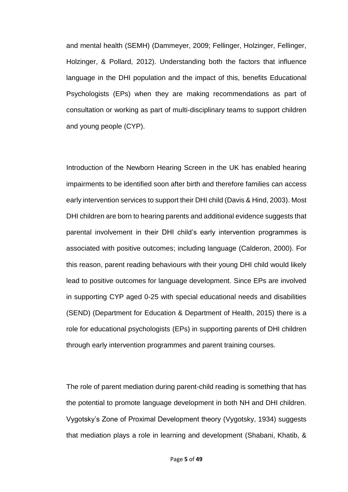and mental health (SEMH) (Dammeyer, 2009; Fellinger, Holzinger, Fellinger, Holzinger, & Pollard, 2012). Understanding both the factors that influence language in the DHI population and the impact of this, benefits Educational Psychologists (EPs) when they are making recommendations as part of consultation or working as part of multi-disciplinary teams to support children and young people (CYP).

Introduction of the Newborn Hearing Screen in the UK has enabled hearing impairments to be identified soon after birth and therefore families can access early intervention services to support their DHI child (Davis & Hind, 2003). Most DHI children are born to hearing parents and additional evidence suggests that parental involvement in their DHI child's early intervention programmes is associated with positive outcomes; including language (Calderon, 2000). For this reason, parent reading behaviours with their young DHI child would likely lead to positive outcomes for language development. Since EPs are involved in supporting CYP aged 0-25 with special educational needs and disabilities (SEND) (Department for Education & Department of Health, 2015) there is a role for educational psychologists (EPs) in supporting parents of DHI children through early intervention programmes and parent training courses.

The role of parent mediation during parent-child reading is something that has the potential to promote language development in both NH and DHI children. Vygotsky's Zone of Proximal Development theory (Vygotsky, 1934) suggests that mediation plays a role in learning and development (Shabani, Khatib, &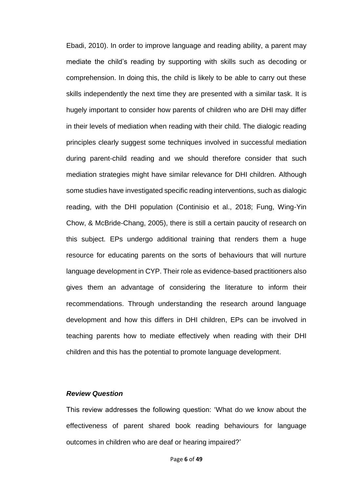Ebadi, 2010). In order to improve language and reading ability, a parent may mediate the child's reading by supporting with skills such as decoding or comprehension. In doing this, the child is likely to be able to carry out these skills independently the next time they are presented with a similar task. It is hugely important to consider how parents of children who are DHI may differ in their levels of mediation when reading with their child. The dialogic reading principles clearly suggest some techniques involved in successful mediation during parent-child reading and we should therefore consider that such mediation strategies might have similar relevance for DHI children. Although some studies have investigated specific reading interventions, such as dialogic reading, with the DHI population (Continisio et al., 2018; Fung, Wing-Yin Chow, & McBride-Chang, 2005), there is still a certain paucity of research on this subject. EPs undergo additional training that renders them a huge resource for educating parents on the sorts of behaviours that will nurture language development in CYP. Their role as evidence-based practitioners also gives them an advantage of considering the literature to inform their recommendations. Through understanding the research around language development and how this differs in DHI children, EPs can be involved in teaching parents how to mediate effectively when reading with their DHI children and this has the potential to promote language development.

#### *Review Question*

This review addresses the following question: 'What do we know about the effectiveness of parent shared book reading behaviours for language outcomes in children who are deaf or hearing impaired?'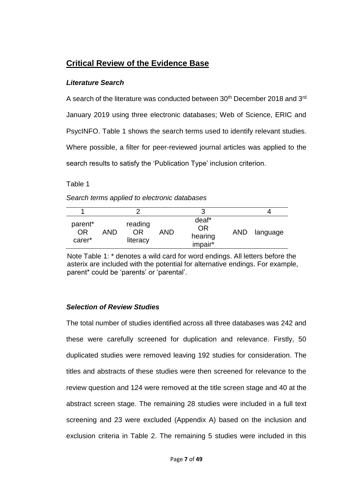## **Critical Review of the Evidence Base**

### *Literature Search*

A search of the literature was conducted between 30<sup>th</sup> December 2018 and 3<sup>rd</sup> January 2019 using three electronic databases; Web of Science, ERIC and PsycINFO. Table 1 shows the search terms used to identify relevant studies. Where possible, a filter for peer-reviewed journal articles was applied to the search results to satisfy the 'Publication Type' inclusion criterion.

Table 1

| Search terms applied to electronic databases |  |
|----------------------------------------------|--|
|----------------------------------------------|--|

| parent*<br><b>OR</b><br>carer* | AND | reading<br>ΩR<br>literacy | AND | deaf*<br><b>OR</b><br>hearing<br>impair* | <b>AND</b> | language |
|--------------------------------|-----|---------------------------|-----|------------------------------------------|------------|----------|

Note Table 1: \* denotes a wild card for word endings. All letters before the asterix are included with the potential for alternative endings. For example, parent\* could be 'parents' or 'parental'.

## *Selection of Review Studies*

The total number of studies identified across all three databases was 242 and these were carefully screened for duplication and relevance. Firstly, 50 duplicated studies were removed leaving 192 studies for consideration. The titles and abstracts of these studies were then screened for relevance to the review question and 124 were removed at the title screen stage and 40 at the abstract screen stage. The remaining 28 studies were included in a full text screening and 23 were excluded (Appendix A) based on the inclusion and exclusion criteria in Table 2. The remaining 5 studies were included in this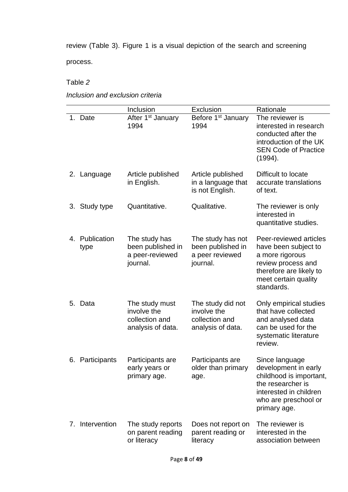review (Table 3). Figure 1 is a visual depiction of the search and screening process.

## Table *2*

## *Inclusion and exclusion criteria*

|         |                        | Inclusion                                                            | Exclusion                                                               | Rationale                                                                                                                                                |
|---------|------------------------|----------------------------------------------------------------------|-------------------------------------------------------------------------|----------------------------------------------------------------------------------------------------------------------------------------------------------|
| 1.      | Date                   | After 1 <sup>st</sup> January<br>1994                                | Before 1 <sup>st</sup> January<br>1994                                  | The reviewer is<br>interested in research<br>conducted after the<br>introduction of the UK<br><b>SEN Code of Practice</b><br>(1994).                     |
|         | 2. Language            | Article published<br>in English.                                     | Article published<br>in a language that<br>is not English.              | Difficult to locate<br>accurate translations<br>of text.                                                                                                 |
|         | 3. Study type          | Quantitative.                                                        | Qualitative.                                                            | The reviewer is only<br>interested in<br>quantitative studies.                                                                                           |
|         | 4. Publication<br>type | The study has<br>been published in<br>a peer-reviewed<br>journal.    | The study has not<br>been published in<br>a peer reviewed<br>journal.   | Peer-reviewed articles<br>have been subject to<br>a more rigorous<br>review process and<br>therefore are likely to<br>meet certain quality<br>standards. |
| 5. Data |                        | The study must<br>involve the<br>collection and<br>analysis of data. | The study did not<br>involve the<br>collection and<br>analysis of data. | Only empirical studies<br>that have collected<br>and analysed data<br>can be used for the<br>systematic literature<br>review.                            |
|         | 6. Participants        | Participants are<br>early years or<br>primary age.                   | Participants are<br>older than primary<br>age.                          | Since language<br>development in early<br>childhood is important,<br>the researcher is<br>interested in children<br>who are preschool or<br>primary age. |
|         | 7. Intervention        | The study reports<br>on parent reading<br>or literacy                | Does not report on<br>parent reading or<br>literacy                     | The reviewer is<br>interested in the<br>association between                                                                                              |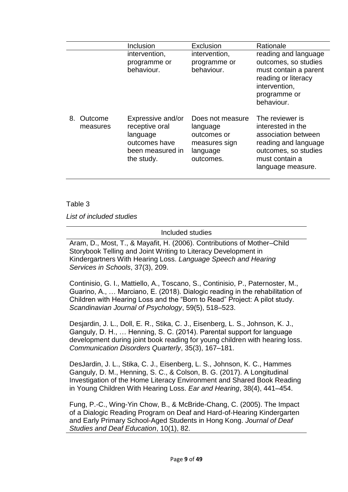|                           | Inclusion                                                                                          | Exclusion                                                                             | Rationale                                                                                                                                          |
|---------------------------|----------------------------------------------------------------------------------------------------|---------------------------------------------------------------------------------------|----------------------------------------------------------------------------------------------------------------------------------------------------|
|                           | intervention,<br>programme or<br>behaviour.                                                        | intervention,<br>programme or<br>behaviour.                                           | reading and language<br>outcomes, so studies<br>must contain a parent<br>reading or literacy<br>intervention,<br>programme or<br>behaviour.        |
| 8.<br>Outcome<br>measures | Expressive and/or<br>receptive oral<br>language<br>outcomes have<br>been measured in<br>the study. | Does not measure<br>language<br>outcomes or<br>measures sign<br>language<br>outcomes. | The reviewer is<br>interested in the<br>association between<br>reading and language<br>outcomes, so studies<br>must contain a<br>language measure. |

#### Table 3

*List of included studies*

#### Included studies

Aram, D., Most, T., & Mayafit, H. (2006). Contributions of Mother–Child Storybook Telling and Joint Writing to Literacy Development in Kindergartners With Hearing Loss. *Language Speech and Hearing Services in Schools*, 37(3), 209.

Continisio, G. I., Mattiello, A., Toscano, S., Continisio, P., Paternoster, M., Guarino, A., … Marciano, E. (2018). Dialogic reading in the rehabilitation of Children with Hearing Loss and the "Born to Read" Project: A pilot study. *Scandinavian Journal of Psychology*, 59(5), 518–523.

Desjardin, J. L., Doll, E. R., Stika, C. J., Eisenberg, L. S., Johnson, K. J., Ganguly, D. H., … Henning, S. C. (2014). Parental support for language development during joint book reading for young children with hearing loss. *Communication Disorders Quarterly*, 35(3), 167–181.

DesJardin, J. L., Stika, C. J., Eisenberg, L. S., Johnson, K. C., Hammes Ganguly, D. M., Henning, S. C., & Colson, B. G. (2017). A Longitudinal Investigation of the Home Literacy Environment and Shared Book Reading in Young Children With Hearing Loss. *Ear and Hearing*, 38(4), 441–454.

Fung, P.-C., Wing-Yin Chow, B., & McBride-Chang, C. (2005). The Impact of a Dialogic Reading Program on Deaf and Hard-of-Hearing Kindergarten and Early Primary School-Aged Students in Hong Kong. *Journal of Deaf Studies and Deaf Education*, 10(1), 82.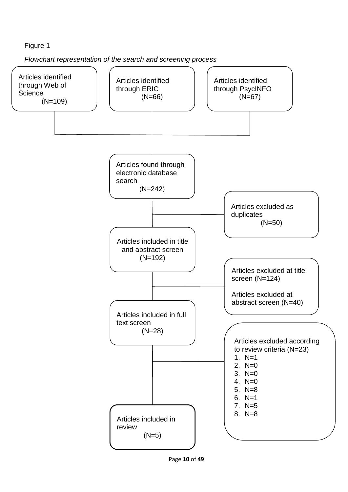## Figure 1

*Flowchart representation of the search and screening process*

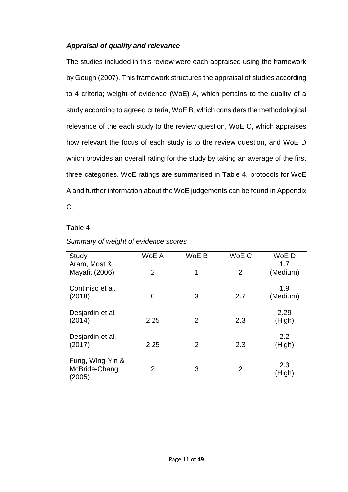### *Appraisal of quality and relevance*

The studies included in this review were each appraised using the framework by Gough (2007). This framework structures the appraisal of studies according to 4 criteria; weight of evidence (WoE) A, which pertains to the quality of a study according to agreed criteria, WoE B, which considers the methodological relevance of the each study to the review question, WoE C, which appraises how relevant the focus of each study is to the review question, and WoE D which provides an overall rating for the study by taking an average of the first three categories. WoE ratings are summarised in Table 4, protocols for WoE A and further information about the WoE judgements can be found in Appendix C.

#### Table 4

| Study                                       | WoE A          | WoE B          | WoE C          | WoE D           |
|---------------------------------------------|----------------|----------------|----------------|-----------------|
| Aram, Most &<br><b>Mayafit (2006)</b>       | $\overline{2}$ | 1              | $\overline{2}$ | 1.7<br>(Medium) |
| Continiso et al.<br>(2018)                  | $\overline{0}$ | 3              | 2.7            | 1.9<br>(Medium) |
| Desjardin et al<br>(2014)                   | 2.25           | $\overline{2}$ | 2.3            | 2.29<br>(High)  |
| Desjardin et al.<br>(2017)                  | 2.25           | $\overline{2}$ | 2.3            | 2.2<br>(High)   |
| Fung, Wing-Yin &<br>McBride-Chang<br>(2005) | $\overline{2}$ | 3              | $\overline{2}$ | 2.3<br>(High)   |

#### *Summary of weight of evidence scores*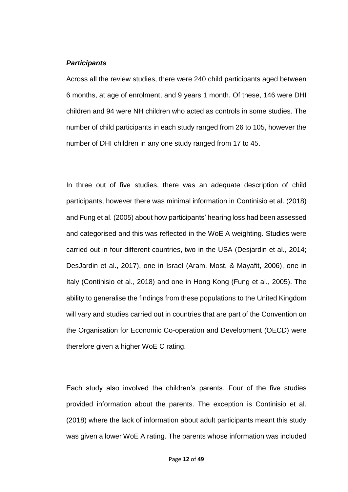#### *Participants*

Across all the review studies, there were 240 child participants aged between 6 months, at age of enrolment, and 9 years 1 month. Of these, 146 were DHI children and 94 were NH children who acted as controls in some studies. The number of child participants in each study ranged from 26 to 105, however the number of DHI children in any one study ranged from 17 to 45.

In three out of five studies, there was an adequate description of child participants, however there was minimal information in Continisio et al. (2018) and Fung et al. (2005) about how participants' hearing loss had been assessed and categorised and this was reflected in the WoE A weighting. Studies were carried out in four different countries, two in the USA (Desjardin et al., 2014; DesJardin et al., 2017), one in Israel (Aram, Most, & Mayafit, 2006), one in Italy (Continisio et al., 2018) and one in Hong Kong (Fung et al., 2005). The ability to generalise the findings from these populations to the United Kingdom will vary and studies carried out in countries that are part of the Convention on the Organisation for Economic Co-operation and Development (OECD) were therefore given a higher WoE C rating.

Each study also involved the children's parents. Four of the five studies provided information about the parents. The exception is Continisio et al. (2018) where the lack of information about adult participants meant this study was given a lower WoE A rating. The parents whose information was included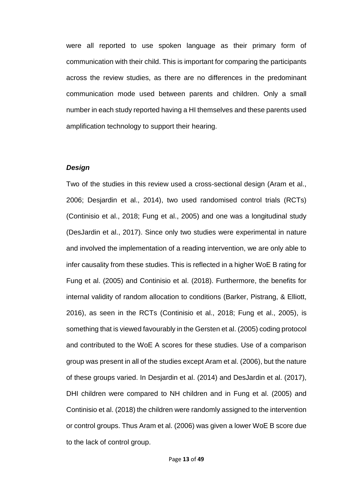were all reported to use spoken language as their primary form of communication with their child. This is important for comparing the participants across the review studies, as there are no differences in the predominant communication mode used between parents and children. Only a small number in each study reported having a HI themselves and these parents used amplification technology to support their hearing.

#### *Design*

Two of the studies in this review used a cross-sectional design (Aram et al., 2006; Desjardin et al., 2014), two used randomised control trials (RCTs) (Continisio et al., 2018; Fung et al., 2005) and one was a longitudinal study (DesJardin et al., 2017). Since only two studies were experimental in nature and involved the implementation of a reading intervention, we are only able to infer causality from these studies. This is reflected in a higher WoE B rating for Fung et al. (2005) and Continisio et al. (2018). Furthermore, the benefits for internal validity of random allocation to conditions (Barker, Pistrang, & Elliott, 2016), as seen in the RCTs (Continisio et al., 2018; Fung et al., 2005), is something that is viewed favourably in the Gersten et al. (2005) coding protocol and contributed to the WoE A scores for these studies. Use of a comparison group was present in all of the studies except Aram et al. (2006), but the nature of these groups varied. In Desjardin et al. (2014) and DesJardin et al. (2017), DHI children were compared to NH children and in Fung et al. (2005) and Continisio et al. (2018) the children were randomly assigned to the intervention or control groups. Thus Aram et al. (2006) was given a lower WoE B score due to the lack of control group.

Page **13** of **49**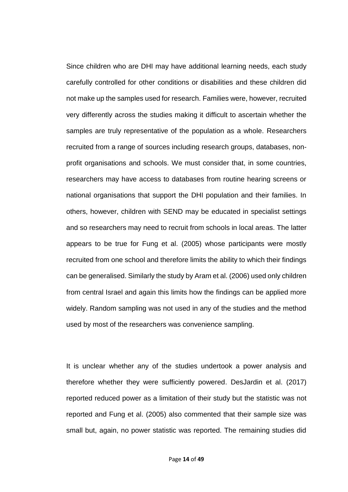Since children who are DHI may have additional learning needs, each study carefully controlled for other conditions or disabilities and these children did not make up the samples used for research. Families were, however, recruited very differently across the studies making it difficult to ascertain whether the samples are truly representative of the population as a whole. Researchers recruited from a range of sources including research groups, databases, nonprofit organisations and schools. We must consider that, in some countries, researchers may have access to databases from routine hearing screens or national organisations that support the DHI population and their families. In others, however, children with SEND may be educated in specialist settings and so researchers may need to recruit from schools in local areas. The latter appears to be true for Fung et al. (2005) whose participants were mostly recruited from one school and therefore limits the ability to which their findings can be generalised. Similarly the study by Aram et al. (2006) used only children from central Israel and again this limits how the findings can be applied more widely. Random sampling was not used in any of the studies and the method used by most of the researchers was convenience sampling.

It is unclear whether any of the studies undertook a power analysis and therefore whether they were sufficiently powered. DesJardin et al. (2017) reported reduced power as a limitation of their study but the statistic was not reported and Fung et al. (2005) also commented that their sample size was small but, again, no power statistic was reported. The remaining studies did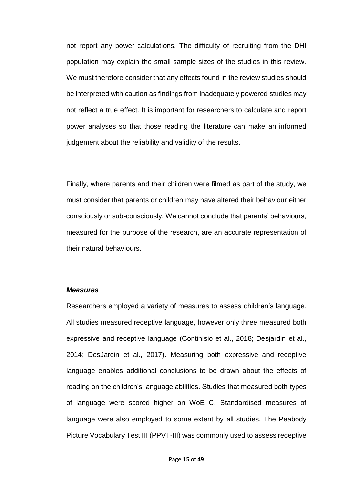not report any power calculations. The difficulty of recruiting from the DHI population may explain the small sample sizes of the studies in this review. We must therefore consider that any effects found in the review studies should be interpreted with caution as findings from inadequately powered studies may not reflect a true effect. It is important for researchers to calculate and report power analyses so that those reading the literature can make an informed judgement about the reliability and validity of the results.

Finally, where parents and their children were filmed as part of the study, we must consider that parents or children may have altered their behaviour either consciously or sub-consciously. We cannot conclude that parents' behaviours, measured for the purpose of the research, are an accurate representation of their natural behaviours.

#### *Measures*

Researchers employed a variety of measures to assess children's language. All studies measured receptive language, however only three measured both expressive and receptive language (Continisio et al., 2018; Desjardin et al., 2014; DesJardin et al., 2017). Measuring both expressive and receptive language enables additional conclusions to be drawn about the effects of reading on the children's language abilities. Studies that measured both types of language were scored higher on WoE C. Standardised measures of language were also employed to some extent by all studies. The Peabody Picture Vocabulary Test III (PPVT-III) was commonly used to assess receptive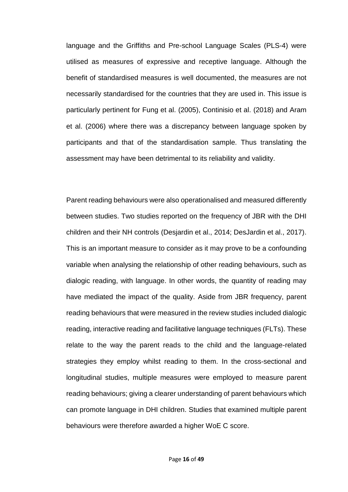language and the Griffiths and Pre-school Language Scales (PLS-4) were utilised as measures of expressive and receptive language. Although the benefit of standardised measures is well documented, the measures are not necessarily standardised for the countries that they are used in. This issue is particularly pertinent for Fung et al. (2005), Continisio et al. (2018) and Aram et al. (2006) where there was a discrepancy between language spoken by participants and that of the standardisation sample. Thus translating the assessment may have been detrimental to its reliability and validity.

Parent reading behaviours were also operationalised and measured differently between studies. Two studies reported on the frequency of JBR with the DHI children and their NH controls (Desjardin et al., 2014; DesJardin et al., 2017). This is an important measure to consider as it may prove to be a confounding variable when analysing the relationship of other reading behaviours, such as dialogic reading, with language. In other words, the quantity of reading may have mediated the impact of the quality. Aside from JBR frequency, parent reading behaviours that were measured in the review studies included dialogic reading, interactive reading and facilitative language techniques (FLTs). These relate to the way the parent reads to the child and the language-related strategies they employ whilst reading to them. In the cross-sectional and longitudinal studies, multiple measures were employed to measure parent reading behaviours; giving a clearer understanding of parent behaviours which can promote language in DHI children. Studies that examined multiple parent behaviours were therefore awarded a higher WoE C score.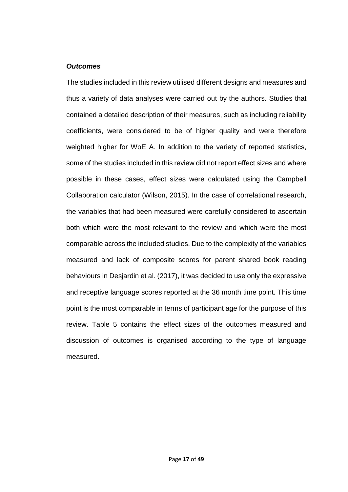#### *Outcomes*

The studies included in this review utilised different designs and measures and thus a variety of data analyses were carried out by the authors. Studies that contained a detailed description of their measures, such as including reliability coefficients, were considered to be of higher quality and were therefore weighted higher for WoE A. In addition to the variety of reported statistics, some of the studies included in this review did not report effect sizes and where possible in these cases, effect sizes were calculated using the Campbell Collaboration calculator (Wilson, 2015). In the case of correlational research, the variables that had been measured were carefully considered to ascertain both which were the most relevant to the review and which were the most comparable across the included studies. Due to the complexity of the variables measured and lack of composite scores for parent shared book reading behaviours in Desjardin et al. (2017), it was decided to use only the expressive and receptive language scores reported at the 36 month time point. This time point is the most comparable in terms of participant age for the purpose of this review. Table 5 contains the effect sizes of the outcomes measured and discussion of outcomes is organised according to the type of language measured.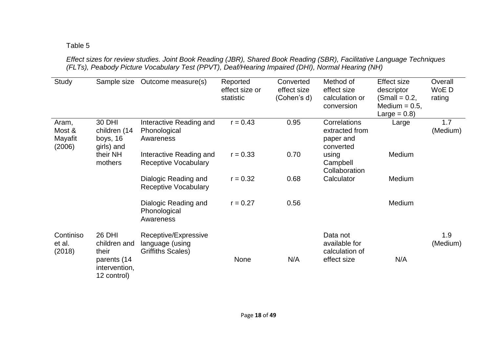## Table 5

*Effect sizes for review studies. Joint Book Reading (JBR), Shared Book Reading (SBR), Facilitative Language Techniques (FLTs), Peabody Picture Vocabulary Test (PPVT), Deaf/Hearing Impaired (DHI), Normal Hearing (NH)*

| Study                                | Sample size                                      | Outcome measure(s)                                                  | Reported<br>effect size or<br>statistic | Converted<br>effect size<br>(Cohen's d) | Method of<br>effect size<br>calculation or<br>conversion | Effect size<br>descriptor<br>$(Small = 0.2,$<br>Medium = $0.5$ , | Overall<br>WoE D<br>rating |
|--------------------------------------|--------------------------------------------------|---------------------------------------------------------------------|-----------------------------------------|-----------------------------------------|----------------------------------------------------------|------------------------------------------------------------------|----------------------------|
|                                      |                                                  |                                                                     |                                         |                                         |                                                          | Large = $0.8$ )                                                  |                            |
| Aram,<br>Most &<br>Mayafit<br>(2006) | 30 DHI<br>children (14<br>boys, 16<br>girls) and | Interactive Reading and<br>Phonological<br>Awareness                | $r = 0.43$                              | 0.95                                    | Correlations<br>extracted from<br>paper and<br>converted | Large                                                            | 1.7<br>(Medium)            |
|                                      | their NH<br>mothers                              | Interactive Reading and<br><b>Receptive Vocabulary</b>              | $r = 0.33$                              | 0.70                                    | using<br>Campbell<br>Collaboration                       | Medium                                                           |                            |
|                                      |                                                  | Dialogic Reading and<br><b>Receptive Vocabulary</b>                 | $r = 0.32$                              | 0.68                                    | Calculator                                               | Medium                                                           |                            |
|                                      |                                                  | Dialogic Reading and<br>Phonological<br>Awareness                   | $r = 0.27$                              | 0.56                                    |                                                          | Medium                                                           |                            |
| Continiso<br>et al.<br>(2018)        | 26 DHI<br>children and<br>their                  | Receptive/Expressive<br>language (using<br><b>Griffiths Scales)</b> |                                         |                                         | Data not<br>available for<br>calculation of              |                                                                  | 1.9<br>(Medium)            |
|                                      | parents (14<br>intervention,<br>12 control)      |                                                                     | None                                    | N/A                                     | effect size                                              | N/A                                                              |                            |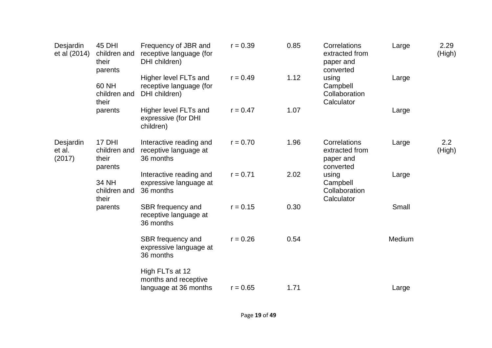| Desjardin<br>et al (2014)     | <b>45 DHI</b><br>children and<br>their<br>parents | Frequency of JBR and<br>receptive language (for<br>DHI children)  | $r = 0.39$ | 0.85 | Correlations<br>extracted from<br>paper and<br>converted | Large  | 2.29<br>(High) |
|-------------------------------|---------------------------------------------------|-------------------------------------------------------------------|------------|------|----------------------------------------------------------|--------|----------------|
|                               | 60 NH<br>children and<br>their                    | Higher level FLTs and<br>receptive language (for<br>DHI children) | $r = 0.49$ | 1.12 | using<br>Campbell<br>Collaboration<br>Calculator         | Large  |                |
|                               | parents                                           | Higher level FLTs and<br>expressive (for DHI<br>children)         | $r = 0.47$ | 1.07 |                                                          | Large  |                |
| Desjardin<br>et al.<br>(2017) | 17 DHI<br>children and<br>their<br>parents        | Interactive reading and<br>receptive language at<br>36 months     | $r = 0.70$ | 1.96 | Correlations<br>extracted from<br>paper and<br>converted | Large  | 2.2<br>(High)  |
|                               | 34 NH<br>children and<br>their                    | Interactive reading and<br>expressive language at<br>36 months    | $r = 0.71$ | 2.02 | using<br>Campbell<br>Collaboration<br>Calculator         | Large  |                |
|                               | parents                                           | SBR frequency and<br>receptive language at<br>36 months           | $r = 0.15$ | 0.30 |                                                          | Small  |                |
|                               |                                                   | SBR frequency and<br>expressive language at<br>36 months          | $r = 0.26$ | 0.54 |                                                          | Medium |                |
|                               |                                                   | High FLTs at 12<br>months and receptive<br>language at 36 months  | $r = 0.65$ | 1.71 |                                                          | Large  |                |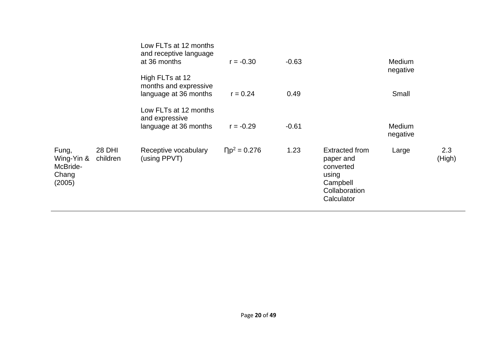|                                                    |                    | Low FLTs at 12 months<br>and receptive language<br>at 36 months   | $r = -0.30$                     | $-0.63$ |                                                                                              | <b>Medium</b><br>negative |               |
|----------------------------------------------------|--------------------|-------------------------------------------------------------------|---------------------------------|---------|----------------------------------------------------------------------------------------------|---------------------------|---------------|
|                                                    |                    | High FLTs at 12<br>months and expressive<br>language at 36 months | $r = 0.24$                      | 0.49    |                                                                                              | Small                     |               |
|                                                    |                    | Low FLTs at 12 months<br>and expressive<br>language at 36 months  | $r = -0.29$                     | $-0.61$ |                                                                                              | <b>Medium</b><br>negative |               |
| Fung,<br>Wing-Yin &<br>McBride-<br>Chang<br>(2005) | 28 DHI<br>children | Receptive vocabulary<br>(using PPVT)                              | $\Gamma$ p <sup>2</sup> = 0.276 | 1.23    | Extracted from<br>paper and<br>converted<br>using<br>Campbell<br>Collaboration<br>Calculator | Large                     | 2.3<br>(High) |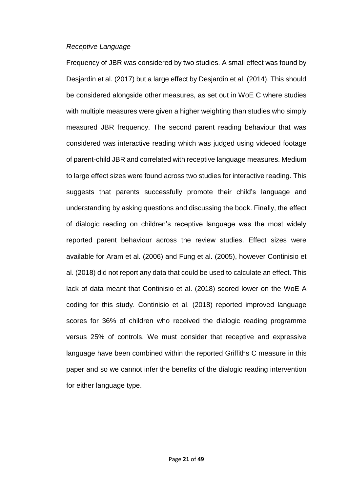#### *Receptive Language*

Frequency of JBR was considered by two studies. A small effect was found by Desjardin et al. (2017) but a large effect by Desjardin et al. (2014). This should be considered alongside other measures, as set out in WoE C where studies with multiple measures were given a higher weighting than studies who simply measured JBR frequency. The second parent reading behaviour that was considered was interactive reading which was judged using videoed footage of parent-child JBR and correlated with receptive language measures. Medium to large effect sizes were found across two studies for interactive reading. This suggests that parents successfully promote their child's language and understanding by asking questions and discussing the book. Finally, the effect of dialogic reading on children's receptive language was the most widely reported parent behaviour across the review studies. Effect sizes were available for Aram et al. (2006) and Fung et al. (2005), however Continisio et al. (2018) did not report any data that could be used to calculate an effect. This lack of data meant that Continisio et al. (2018) scored lower on the WoE A coding for this study. Continisio et al. (2018) reported improved language scores for 36% of children who received the dialogic reading programme versus 25% of controls. We must consider that receptive and expressive language have been combined within the reported Griffiths C measure in this paper and so we cannot infer the benefits of the dialogic reading intervention for either language type.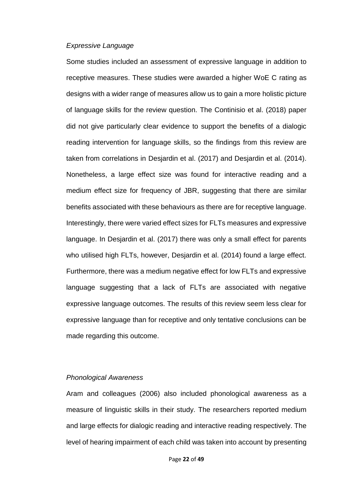#### *Expressive Language*

Some studies included an assessment of expressive language in addition to receptive measures. These studies were awarded a higher WoE C rating as designs with a wider range of measures allow us to gain a more holistic picture of language skills for the review question. The Continisio et al. (2018) paper did not give particularly clear evidence to support the benefits of a dialogic reading intervention for language skills, so the findings from this review are taken from correlations in Desjardin et al. (2017) and Desjardin et al. (2014). Nonetheless, a large effect size was found for interactive reading and a medium effect size for frequency of JBR, suggesting that there are similar benefits associated with these behaviours as there are for receptive language. Interestingly, there were varied effect sizes for FLTs measures and expressive language. In Desjardin et al. (2017) there was only a small effect for parents who utilised high FLTs, however, Desjardin et al. (2014) found a large effect. Furthermore, there was a medium negative effect for low FLTs and expressive language suggesting that a lack of FLTs are associated with negative expressive language outcomes. The results of this review seem less clear for expressive language than for receptive and only tentative conclusions can be made regarding this outcome.

#### *Phonological Awareness*

Aram and colleagues (2006) also included phonological awareness as a measure of linguistic skills in their study. The researchers reported medium and large effects for dialogic reading and interactive reading respectively. The level of hearing impairment of each child was taken into account by presenting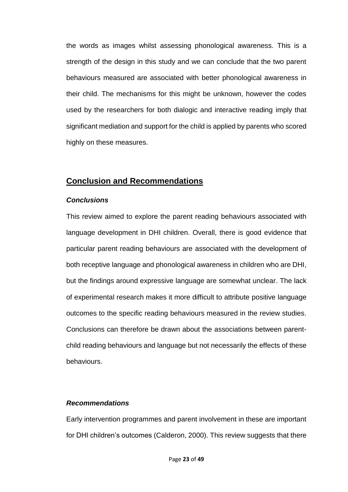the words as images whilst assessing phonological awareness. This is a strength of the design in this study and we can conclude that the two parent behaviours measured are associated with better phonological awareness in their child. The mechanisms for this might be unknown, however the codes used by the researchers for both dialogic and interactive reading imply that significant mediation and support for the child is applied by parents who scored highly on these measures.

## **Conclusion and Recommendations**

#### *Conclusions*

This review aimed to explore the parent reading behaviours associated with language development in DHI children. Overall, there is good evidence that particular parent reading behaviours are associated with the development of both receptive language and phonological awareness in children who are DHI, but the findings around expressive language are somewhat unclear. The lack of experimental research makes it more difficult to attribute positive language outcomes to the specific reading behaviours measured in the review studies. Conclusions can therefore be drawn about the associations between parentchild reading behaviours and language but not necessarily the effects of these behaviours.

#### *Recommendations*

Early intervention programmes and parent involvement in these are important for DHI children's outcomes (Calderon, 2000). This review suggests that there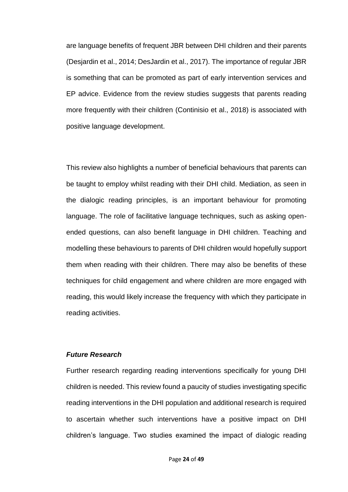are language benefits of frequent JBR between DHI children and their parents (Desjardin et al., 2014; DesJardin et al., 2017). The importance of regular JBR is something that can be promoted as part of early intervention services and EP advice. Evidence from the review studies suggests that parents reading more frequently with their children (Continisio et al., 2018) is associated with positive language development.

This review also highlights a number of beneficial behaviours that parents can be taught to employ whilst reading with their DHI child. Mediation, as seen in the dialogic reading principles, is an important behaviour for promoting language. The role of facilitative language techniques, such as asking openended questions, can also benefit language in DHI children. Teaching and modelling these behaviours to parents of DHI children would hopefully support them when reading with their children. There may also be benefits of these techniques for child engagement and where children are more engaged with reading, this would likely increase the frequency with which they participate in reading activities.

#### *Future Research*

Further research regarding reading interventions specifically for young DHI children is needed. This review found a paucity of studies investigating specific reading interventions in the DHI population and additional research is required to ascertain whether such interventions have a positive impact on DHI children's language. Two studies examined the impact of dialogic reading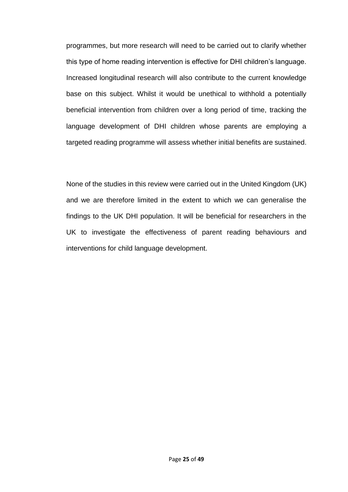programmes, but more research will need to be carried out to clarify whether this type of home reading intervention is effective for DHI children's language. Increased longitudinal research will also contribute to the current knowledge base on this subject. Whilst it would be unethical to withhold a potentially beneficial intervention from children over a long period of time, tracking the language development of DHI children whose parents are employing a targeted reading programme will assess whether initial benefits are sustained.

None of the studies in this review were carried out in the United Kingdom (UK) and we are therefore limited in the extent to which we can generalise the findings to the UK DHI population. It will be beneficial for researchers in the UK to investigate the effectiveness of parent reading behaviours and interventions for child language development.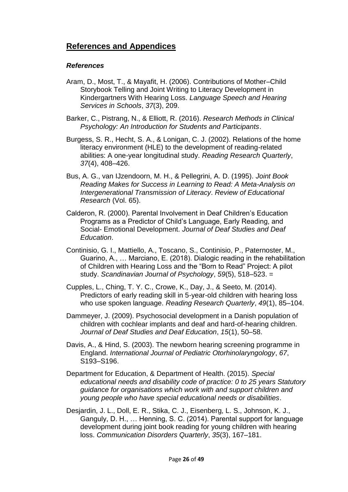## **References and Appendices**

### *References*

- Aram, D., Most, T., & Mayafit, H. (2006). Contributions of Mother–Child Storybook Telling and Joint Writing to Literacy Development in Kindergartners With Hearing Loss. *Language Speech and Hearing Services in Schools*, *37*(3), 209.
- Barker, C., Pistrang, N., & Elliott, R. (2016). *Research Methods in Clinical Psychology: An Introduction for Students and Participants*.
- Burgess, S. R., Hecht, S. A., & Lonigan, C. J. (2002). Relations of the home literacy environment (HLE) to the development of reading-related abilities: A one-year longitudinal study. *Reading Research Quarterly*, *37*(4), 408–426.
- Bus, A. G., van IJzendoorn, M. H., & Pellegrini, A. D. (1995). *Joint Book Reading Makes for Success in Learning to Read: A Meta-Analysis on Intergenerational Transmission of Literacy*. *Review of Educational Research* (Vol. 65).
- Calderon, R. (2000). Parental Involvement in Deaf Children's Education Programs as a Predictor of Child's Language, Early Reading, and Social- Emotional Development. *Journal of Deaf Studies and Deaf Education*.
- Continisio, G. I., Mattiello, A., Toscano, S., Continisio, P., Paternoster, M., Guarino, A., … Marciano, E. (2018). Dialogic reading in the rehabilitation of Children with Hearing Loss and the "Born to Read" Project: A pilot study. *Scandinavian Journal of Psychology*, *59*(5), 518–523. =
- Cupples, L., Ching, T. Y. C., Crowe, K., Day, J., & Seeto, M. (2014). Predictors of early reading skill in 5-year-old children with hearing loss who use spoken language. *Reading Research Quarterly*, *49*(1), 85–104.
- Dammeyer, J. (2009). Psychosocial development in a Danish population of children with cochlear implants and deaf and hard-of-hearing children. *Journal of Deaf Studies and Deaf Education*, *15*(1), 50–58.
- Davis, A., & Hind, S. (2003). The newborn hearing screening programme in England. *International Journal of Pediatric Otorhinolaryngology*, *67*, S193–S196.
- Department for Education, & Department of Health. (2015). *Special educational needs and disability code of practice: 0 to 25 years Statutory guidance for organisations which work with and support children and young people who have special educational needs or disabilities*.
- Desjardin, J. L., Doll, E. R., Stika, C. J., Eisenberg, L. S., Johnson, K. J., Ganguly, D. H., … Henning, S. C. (2014). Parental support for language development during joint book reading for young children with hearing loss. *Communication Disorders Quarterly*, *35*(3), 167–181.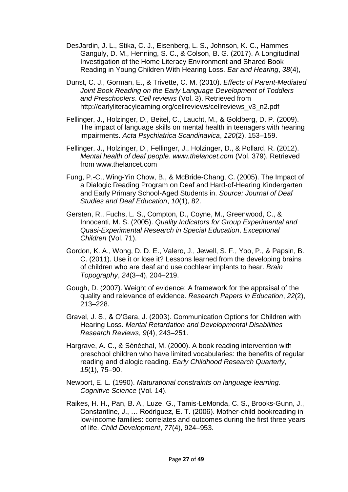- DesJardin, J. L., Stika, C. J., Eisenberg, L. S., Johnson, K. C., Hammes Ganguly, D. M., Henning, S. C., & Colson, B. G. (2017). A Longitudinal Investigation of the Home Literacy Environment and Shared Book Reading in Young Children With Hearing Loss. *Ear and Hearing*, *38*(4),
- Dunst, C. J., Gorman, E., & Trivette, C. M. (2010). *Effects of Parent-Mediated Joint Book Reading on the Early Language Development of Toddlers and Preschoolers*. *Cell reviews* (Vol. 3). Retrieved from http://earlyliteracylearning.org/cellreviews/cellreviews\_v3\_n2.pdf
- Fellinger, J., Holzinger, D., Beitel, C., Laucht, M., & Goldberg, D. P. (2009). The impact of language skills on mental health in teenagers with hearing impairments. *Acta Psychiatrica Scandinavica*, *120*(2), 153–159.
- Fellinger, J., Holzinger, D., Fellinger, J., Holzinger, D., & Pollard, R. (2012). *Mental health of deaf people*. *www.thelancet.com* (Vol. 379). Retrieved from www.thelancet.com
- Fung, P.-C., Wing-Yin Chow, B., & McBride-Chang, C. (2005). The Impact of a Dialogic Reading Program on Deaf and Hard-of-Hearing Kindergarten and Early Primary School-Aged Students in. *Source: Journal of Deaf Studies and Deaf Education*, *10*(1), 82.
- Gersten, R., Fuchs, L. S., Compton, D., Coyne, M., Greenwood, C., & Innocenti, M. S. (2005). *Quality Indicators for Group Experimental and Quasi-Experimental Research in Special Education*. *Exceptional Children* (Vol. 71).
- Gordon, K. A., Wong, D. D. E., Valero, J., Jewell, S. F., Yoo, P., & Papsin, B. C. (2011). Use it or lose it? Lessons learned from the developing brains of children who are deaf and use cochlear implants to hear. *Brain Topography*, *24*(3–4), 204–219.
- Gough, D. (2007). Weight of evidence: A framework for the appraisal of the quality and relevance of evidence. *Research Papers in Education*, *22*(2), 213–228.
- Gravel, J. S., & O'Gara, J. (2003). Communication Options for Children with Hearing Loss. *Mental Retardation and Developmental Disabilities Research Reviews*, *9*(4), 243–251.
- Hargrave, A. C., & Sénéchal, M. (2000). A book reading intervention with preschool children who have limited vocabularies: the benefits of regular reading and dialogic reading. *Early Childhood Research Quarterly*, *15*(1), 75–90.
- Newport, E. L. (1990). *Maturational constraints on language learning*. *Cognitive Science* (Vol. 14).
- Raikes, H. H., Pan, B. A., Luze, G., Tamis-LeMonda, C. S., Brooks-Gunn, J., Constantine, J., … Rodriguez, E. T. (2006). Mother-child bookreading in low-income families: correlates and outcomes during the first three years of life. *Child Development*, *77*(4), 924–953.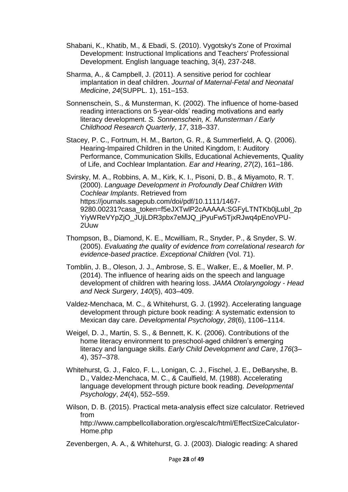- Shabani, K., Khatib, M., & Ebadi, S. (2010). Vygotsky's Zone of Proximal Development: Instructional Implications and Teachers' Professional Development. English language teaching, 3(4), 237-248.
- Sharma, A., & Campbell, J. (2011). A sensitive period for cochlear implantation in deaf children. *Journal of Maternal-Fetal and Neonatal Medicine*, *24*(SUPPL. 1), 151–153.
- Sonnenschein, S., & Munsterman, K. (2002). The influence of home-based reading interactions on 5-year-olds' reading motivations and early literacy development. *S. Sonnenschein, K. Munsterman / Early Childhood Research Quarterly*, *17*, 318–337.
- Stacey, P. C., Fortnum, H. M., Barton, G. R., & Summerfield, A. Q. (2006). Hearing-Impaired Children in the United Kingdom, I: Auditory Performance, Communication Skills, Educational Achievements, Quality of Life, and Cochlear Implantation. *Ear and Hearing*, *27*(2), 161–186.
- Svirsky, M. A., Robbins, A. M., Kirk, K. I., Pisoni, D. B., & Miyamoto, R. T. (2000). *Language Development in Profoundly Deaf Children With Cochlear Implants*. Retrieved from https://journals.sagepub.com/doi/pdf/10.1111/1467- 9280.00231?casa\_token=f5eJXTwlP2cAAAAA:SGFvLTNTKb0iLubl\_2p YiyWReVYpZjO\_JUjLDR3pbx7eMJQ\_jPyuFw5TjxRJwq4pEnoVPU-2Uuw
- Thompson, B., Diamond, K. E., Mcwilliam, R., Snyder, P., & Snyder, S. W. (2005). *Evaluating the quality of evidence from correlational research for evidence-based practice*. *Exceptional Children* (Vol. 71).
- Tomblin, J. B., Oleson, J. J., Ambrose, S. E., Walker, E., & Moeller, M. P. (2014). The influence of hearing aids on the speech and language development of children with hearing loss. *JAMA Otolaryngology - Head and Neck Surgery*, *140*(5), 403–409.
- Valdez-Menchaca, M. C., & Whitehurst, G. J. (1992). Accelerating language development through picture book reading: A systematic extension to Mexican day care. *Developmental Psychology*, *28*(6), 1106–1114.
- Weigel, D. J., Martin, S. S., & Bennett, K. K. (2006). Contributions of the home literacy environment to preschool‐aged children's emerging literacy and language skills. *Early Child Development and Care*, *176*(3– 4), 357–378.
- Whitehurst, G. J., Falco, F. L., Lonigan, C. J., Fischel, J. E., DeBaryshe, B. D., Valdez-Menchaca, M. C., & Caulfield, M. (1988). Accelerating language development through picture book reading. *Developmental Psychology*, *24*(4), 552–559.
- Wilson, D. B. (2015). Practical meta-analysis effect size calculator. Retrieved from http://www.campbellcollaboration.org/escalc/html/EffectSizeCalculator-Home.php

Zevenbergen, A. A., & Whitehurst, G. J. (2003). Dialogic reading: A shared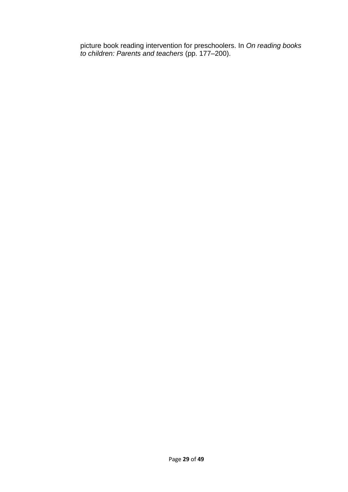picture book reading intervention for preschoolers. In *On reading books to children: Parents and teachers* (pp. 177–200).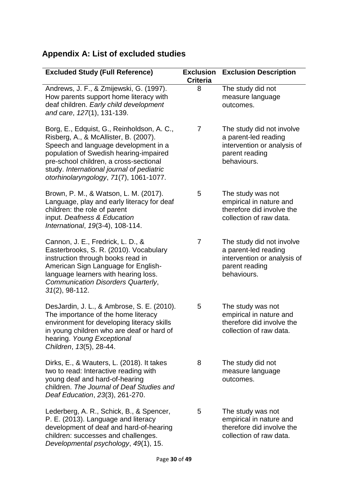# **Appendix A: List of excluded studies**

| <b>Excluded Study (Full Reference)</b>                                                                                                                                                                                                                                                                 | <b>Exclusion</b><br><b>Criteria</b> | <b>Exclusion Description</b>                                                                                      |
|--------------------------------------------------------------------------------------------------------------------------------------------------------------------------------------------------------------------------------------------------------------------------------------------------------|-------------------------------------|-------------------------------------------------------------------------------------------------------------------|
| Andrews, J. F., & Zmijewski, G. (1997).<br>How parents support home literacy with<br>deaf children. Early child development<br>and care, 127(1), 131-139.                                                                                                                                              | 8                                   | The study did not<br>measure language<br>outcomes.                                                                |
| Borg, E., Edquist, G., Reinholdson, A. C.,<br>Risberg, A., & McAllister, B. (2007).<br>Speech and language development in a<br>population of Swedish hearing-impaired<br>pre-school children, a cross-sectional<br>study. International journal of pediatric<br>otorhinolaryngology, 71(7), 1061-1077. | 7                                   | The study did not involve<br>a parent-led reading<br>intervention or analysis of<br>parent reading<br>behaviours. |
| Brown, P. M., & Watson, L. M. (2017).<br>Language, play and early literacy for deaf<br>children: the role of parent<br>input. Deafness & Education<br>International, 19(3-4), 108-114.                                                                                                                 | 5                                   | The study was not<br>empirical in nature and<br>therefore did involve the<br>collection of raw data.              |
| Cannon, J. E., Fredrick, L. D., &<br>Easterbrooks, S. R. (2010). Vocabulary<br>instruction through books read in<br>American Sign Language for English-<br>language learners with hearing loss.<br>Communication Disorders Quarterly,<br>$31(2)$ , 98-112.                                             | $\overline{7}$                      | The study did not involve<br>a parent-led reading<br>intervention or analysis of<br>parent reading<br>behaviours. |
| DesJardin, J. L., & Ambrose, S. E. (2010).<br>The importance of the home literacy<br>environment for developing literacy skills<br>in young children who are deaf or hard of<br>hearing. Young Exceptional<br>Children, 13(5), 28-44.                                                                  | 5                                   | The study was not<br>empirical in nature and<br>therefore did involve the<br>collection of raw data.              |
| Dirks, E., & Wauters, L. (2018). It takes<br>two to read: Interactive reading with<br>young deaf and hard-of-hearing<br>children. The Journal of Deaf Studies and<br>Deaf Education, 23(3), 261-270.                                                                                                   | 8                                   | The study did not<br>measure language<br>outcomes.                                                                |
| Lederberg, A. R., Schick, B., & Spencer,<br>P. E. (2013). Language and literacy<br>development of deaf and hard-of-hearing<br>children: successes and challenges.<br>Developmental psychology, 49(1), 15.                                                                                              | 5                                   | The study was not<br>empirical in nature and<br>therefore did involve the<br>collection of raw data.              |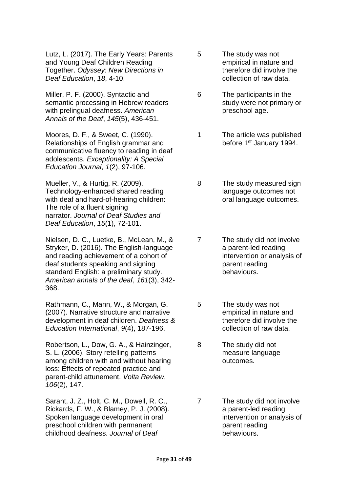Lutz, L. (2017). The Early Years: Parents and Young Deaf Children Reading Together. *Odyssey: New Directions in Deaf Education*, *18*, 4-10.

Miller, P. F. (2000). Syntactic and semantic processing in Hebrew readers with prelingual deafness. *American Annals of the Deaf*, *145*(5), 436-451.

Moores, D. F., & Sweet, C. (1990). Relationships of English grammar and communicative fluency to reading in deaf adolescents. *Exceptionality: A Special Education Journal*, *1*(2), 97-106.

Mueller, V., & Hurtig, R. (2009). Technology-enhanced shared reading with deaf and hard-of-hearing children: The role of a fluent signing narrator. *Journal of Deaf Studies and Deaf Education*, *15*(1), 72-101.

Nielsen, D. C., Luetke, B., McLean, M., & Stryker, D. (2016). The English-language and reading achievement of a cohort of deaf students speaking and signing standard English: a preliminary study. *American annals of the deaf*, *161*(3), 342- 368.

Rathmann, C., Mann, W., & Morgan, G. (2007). Narrative structure and narrative development in deaf children. *Deafness & Education International*, *9*(4), 187-196.

Robertson, L., Dow, G. A., & Hainzinger, S. L. (2006). Story retelling patterns among children with and without hearing loss: Effects of repeated practice and parent-child attunement. *Volta Review*, *106*(2), 147.

Sarant, J. Z., Holt, C. M., Dowell, R. C., Rickards, F. W., & Blamey, P. J. (2008). Spoken language development in oral preschool children with permanent childhood deafness. *Journal of Deaf* 

5 The study was not empirical in nature and therefore did involve the collection of raw data.

6 The participants in the study were not primary or preschool age.

1 The article was published before 1<sup>st</sup> January 1994.

8 The study measured sign language outcomes not oral language outcomes.

7 The study did not involve a parent-led reading intervention or analysis of parent reading behaviours.

5 The study was not empirical in nature and therefore did involve the collection of raw data.

8 The study did not measure language outcomes.

7 The study did not involve a parent-led reading intervention or analysis of parent reading behaviours.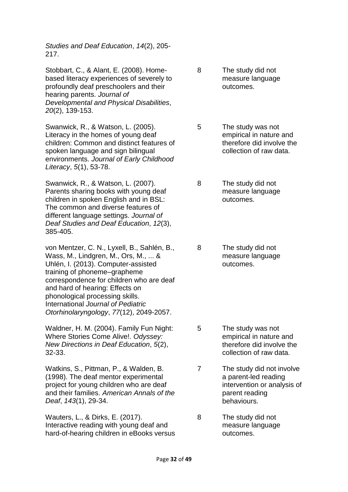*Studies and Deaf Education*, *14*(2), 205- 217.

Stobbart, C., & Alant, E. (2008). Homebased literacy experiences of severely to profoundly deaf preschoolers and their hearing parents. *Journal of Developmental and Physical Disabilities*, *20*(2), 139-153.

Swanwick, R., & Watson, L. (2005). Literacy in the homes of young deaf children: Common and distinct features of spoken language and sign bilingual environments. *Journal of Early Childhood Literacy*, *5*(1), 53-78.

Swanwick, R., & Watson, L. (2007). Parents sharing books with young deaf children in spoken English and in BSL: The common and diverse features of different language settings. *Journal of Deaf Studies and Deaf Education*, *12*(3), 385-405.

von Mentzer, C. N., Lyxell, B., Sahlén, B., Wass, M., Lindgren, M., Ors, M., ... & Uhlén, I. (2013). Computer-assisted training of phoneme–grapheme correspondence for children who are deaf and hard of hearing: Effects on phonological processing skills. International *Journal of Pediatric Otorhinolaryngology*, *77*(12), 2049-2057.

Waldner, H. M. (2004). Family Fun Night: Where Stories Come Alive!. *Odyssey: New Directions in Deaf Education*, *5*(2), 32-33.

Watkins, S., Pittman, P., & Walden, B. (1998). The deaf mentor experimental project for young children who are deaf and their families. *American Annals of the Deaf*, *143*(1), 29-34.

Wauters, L., & Dirks, E. (2017). Interactive reading with young deaf and hard-of-hearing children in eBooks versus 8 The study did not measure language outcomes.

5 The study was not empirical in nature and therefore did involve the collection of raw data.

8 The study did not measure language outcomes.

8 The study did not measure language outcomes.

- 5 The study was not empirical in nature and therefore did involve the collection of raw data.
- 7 The study did not involve a parent-led reading intervention or analysis of parent reading behaviours.
- 8 The study did not measure language outcomes.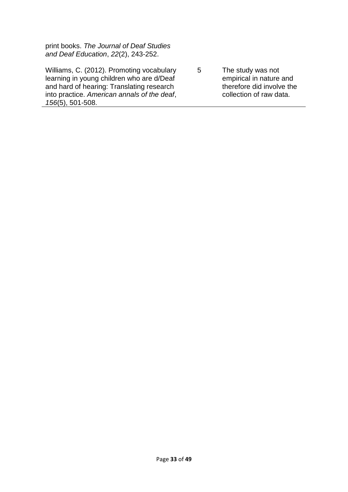print books. *The Journal of Deaf Studies and Deaf Education*, *22*(2), 243-252.

Williams, C. (2012). Promoting vocabulary learning in young children who are d/Deaf and hard of hearing: Translating research into practice. *American annals of the deaf*, *156*(5), 501-508.

5 The study was not empirical in nature and therefore did involve the collection of raw data.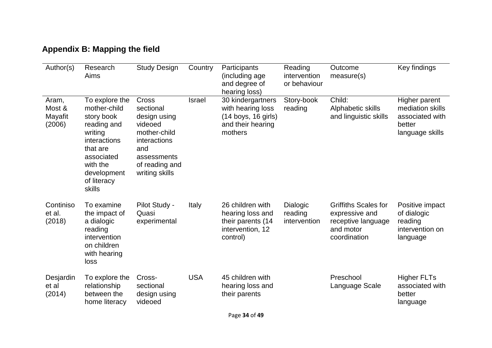| Author(s)                            | Research<br>Aims                                                                                                                                                     | <b>Study Design</b>                                                                                                                     | Country    | Participants<br>(including age<br>and degree of<br>hearing loss)                                | Reading<br>intervention<br>or behaviour | Outcome<br>measure(s)                                                                            | Key findings                                                                      |
|--------------------------------------|----------------------------------------------------------------------------------------------------------------------------------------------------------------------|-----------------------------------------------------------------------------------------------------------------------------------------|------------|-------------------------------------------------------------------------------------------------|-----------------------------------------|--------------------------------------------------------------------------------------------------|-----------------------------------------------------------------------------------|
| Aram,<br>Most &<br>Mayafit<br>(2006) | To explore the<br>mother-child<br>story book<br>reading and<br>writing<br>interactions<br>that are<br>associated<br>with the<br>development<br>of literacy<br>skills | Cross<br>sectional<br>design using<br>videoed<br>mother-child<br>interactions<br>and<br>assessments<br>of reading and<br>writing skills | Israel     | 30 kindergartners<br>with hearing loss<br>$(14$ boys, 16 girls)<br>and their hearing<br>mothers | Story-book<br>reading                   | Child:<br>Alphabetic skills<br>and linguistic skills                                             | Higher parent<br>mediation skills<br>associated with<br>better<br>language skills |
| Continiso<br>et al.<br>(2018)        | To examine<br>the impact of<br>a dialogic<br>reading<br>intervention<br>on children<br>with hearing<br>loss                                                          | Pilot Study -<br>Quasi<br>experimental                                                                                                  | Italy      | 26 children with<br>hearing loss and<br>their parents (14<br>intervention, 12<br>control)       | Dialogic<br>reading<br>intervention     | <b>Griffiths Scales for</b><br>expressive and<br>receptive language<br>and motor<br>coordination | Positive impact<br>of dialogic<br>reading<br>intervention on<br>language          |
| Desjardin<br>et al<br>(2014)         | To explore the<br>relationship<br>between the<br>home literacy                                                                                                       | Cross-<br>sectional<br>design using<br>videoed                                                                                          | <b>USA</b> | 45 children with<br>hearing loss and<br>their parents                                           |                                         | Preschool<br>Language Scale                                                                      | <b>Higher FLTs</b><br>associated with<br>better<br>language                       |

# **Appendix B: Mapping the field**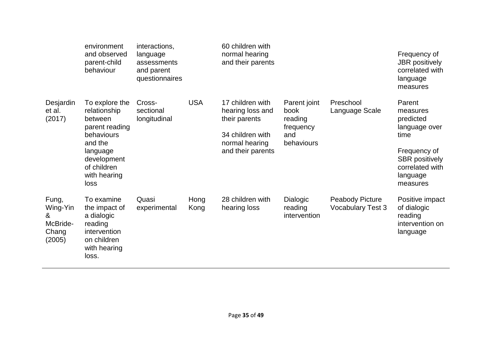|                                                       | environment<br>and observed<br>parent-child<br>behaviour                                                                                               | interactions,<br>language<br>assessments<br>and parent<br>questionnaires |              | 60 children with<br>normal hearing<br>and their parents                                                          |                                                                   |                                                    | Frequency of<br><b>JBR</b> positively<br>correlated with<br>language<br>measures                                                             |
|-------------------------------------------------------|--------------------------------------------------------------------------------------------------------------------------------------------------------|--------------------------------------------------------------------------|--------------|------------------------------------------------------------------------------------------------------------------|-------------------------------------------------------------------|----------------------------------------------------|----------------------------------------------------------------------------------------------------------------------------------------------|
| Desjardin<br>et al.<br>(2017)                         | To explore the<br>relationship<br>between<br>parent reading<br>behaviours<br>and the<br>language<br>development<br>of children<br>with hearing<br>loss | Cross-<br>sectional<br>longitudinal                                      | <b>USA</b>   | 17 children with<br>hearing loss and<br>their parents<br>34 children with<br>normal hearing<br>and their parents | Parent joint<br>book<br>reading<br>frequency<br>and<br>behaviours | Preschool<br>Language Scale                        | Parent<br>measures<br>predicted<br>language over<br>time<br>Frequency of<br><b>SBR</b> positively<br>correlated with<br>language<br>measures |
| Fung,<br>Wing-Yin<br>&<br>McBride-<br>Chang<br>(2005) | To examine<br>the impact of<br>a dialogic<br>reading<br>intervention<br>on children<br>with hearing<br>loss.                                           | Quasi<br>experimental                                                    | Hong<br>Kong | 28 children with<br>hearing loss                                                                                 | <b>Dialogic</b><br>reading<br>intervention                        | <b>Peabody Picture</b><br><b>Vocabulary Test 3</b> | Positive impact<br>of dialogic<br>reading<br>intervention on<br>language                                                                     |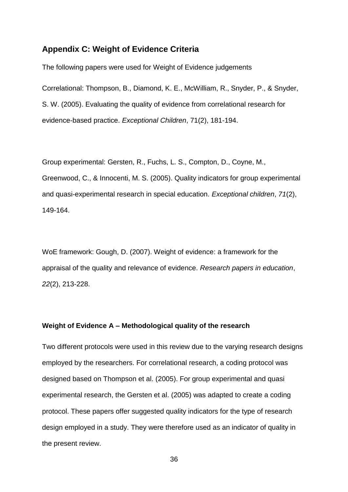## **Appendix C: Weight of Evidence Criteria**

The following papers were used for Weight of Evidence judgements

Correlational: Thompson, B., Diamond, K. E., McWilliam, R., Snyder, P., & Snyder, S. W. (2005). Evaluating the quality of evidence from correlational research for evidence-based practice. *Exceptional Children*, 71(2), 181-194.

Group experimental: Gersten, R., Fuchs, L. S., Compton, D., Coyne, M., Greenwood, C., & Innocenti, M. S. (2005). Quality indicators for group experimental and quasi-experimental research in special education. *Exceptional children*, *71*(2), 149-164.

WoE framework: Gough, D. (2007). Weight of evidence: a framework for the appraisal of the quality and relevance of evidence. *Research papers in education*, *22*(2), 213-228.

#### **Weight of Evidence A – Methodological quality of the research**

Two different protocols were used in this review due to the varying research designs employed by the researchers. For correlational research, a coding protocol was designed based on Thompson et al. (2005). For group experimental and quasi experimental research, the Gersten et al. (2005) was adapted to create a coding protocol. These papers offer suggested quality indicators for the type of research design employed in a study. They were therefore used as an indicator of quality in the present review.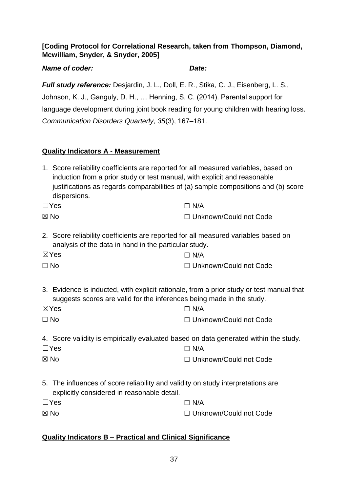## **[Coding Protocol for Correlational Research, taken from Thompson, Diamond, Mcwilliam, Snyder, & Snyder, 2005]**

## *Name of coder: Date:*

*Full study reference:* Desjardin, J. L., Doll, E. R., Stika, C. J., Eisenberg, L. S., Johnson, K. J., Ganguly, D. H., … Henning, S. C. (2014). Parental support for language development during joint book reading for young children with hearing loss. *Communication Disorders Quarterly*, *35*(3), 167–181.

## **Quality Indicators A - Measurement**

1. Score reliability coefficients are reported for all measured variables, based on induction from a prior study or test manual, with explicit and reasonable justifications as regards comparabilities of (a) sample compositions and (b) score dispersions.

| $\Box$ Yes | $\Box$ N/A               |
|------------|--------------------------|
| ⊠ No       | □ Unknown/Could not Code |

2. Score reliability coefficients are reported for all measured variables based on analysis of the data in hand in the particular study.

| $\boxtimes$ Yes | $\Box$ N/A               |
|-----------------|--------------------------|
| $\Box$ No       | □ Unknown/Could not Code |

3. Evidence is inducted, with explicit rationale, from a prior study or test manual that suggests scores are valid for the inferences being made in the study.

| $\boxtimes$ Yes | $\Box$ N/A               |
|-----------------|--------------------------|
| $\Box$ No       | □ Unknown/Could not Code |

4. Score validity is empirically evaluated based on data generated within the study.

| $\Box$ Yes     | $\Box$ N/A               |
|----------------|--------------------------|
| $\boxtimes$ No | □ Unknown/Could not Code |

5. The influences of score reliability and validity on study interpretations are explicitly considered in reasonable detail.

| $\Box$ Yes     | $\Box$ N/A               |
|----------------|--------------------------|
| $\boxtimes$ No | □ Unknown/Could not Code |

## **Quality Indicators B – Practical and Clinical Significance**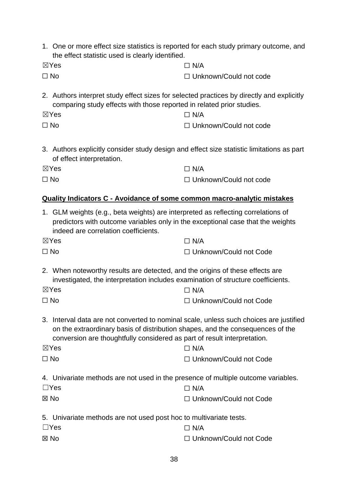| 1. One or more effect size statistics is reported for each study primary outcome, and<br>the effect statistic used is clearly identified.                                                                                                                                             |                               |  |
|---------------------------------------------------------------------------------------------------------------------------------------------------------------------------------------------------------------------------------------------------------------------------------------|-------------------------------|--|
| $\boxtimes$ Yes                                                                                                                                                                                                                                                                       | $\Box$ N/A                    |  |
| $\Box$ No                                                                                                                                                                                                                                                                             | □ Unknown/Could not code      |  |
| 2. Authors interpret study effect sizes for selected practices by directly and explicitly<br>comparing study effects with those reported in related prior studies.                                                                                                                    |                               |  |
| $\boxtimes$ Yes                                                                                                                                                                                                                                                                       | $\Box$ N/A                    |  |
| $\Box$ No                                                                                                                                                                                                                                                                             | $\Box$ Unknown/Could not code |  |
| 3. Authors explicitly consider study design and effect size statistic limitations as part<br>of effect interpretation.                                                                                                                                                                |                               |  |
| $\boxtimes$ Yes                                                                                                                                                                                                                                                                       | $\Box$ N/A                    |  |
| $\Box$ No                                                                                                                                                                                                                                                                             | $\Box$ Unknown/Could not code |  |
| <b>Quality Indicators C - Avoidance of some common macro-analytic mistakes</b>                                                                                                                                                                                                        |                               |  |
| 1. GLM weights (e.g., beta weights) are interpreted as reflecting correlations of<br>predictors with outcome variables only in the exceptional case that the weights<br>indeed are correlation coefficients.                                                                          |                               |  |
| $\boxtimes$ Yes                                                                                                                                                                                                                                                                       | $\Box$ N/A                    |  |
| $\Box$ No                                                                                                                                                                                                                                                                             | □ Unknown/Could not Code      |  |
| 2. When noteworthy results are detected, and the origins of these effects are<br>investigated, the interpretation includes examination of structure coefficients.<br>$\boxtimes$ Yes<br>$\Box$ N/A                                                                                    |                               |  |
| $\Box$ No                                                                                                                                                                                                                                                                             | □ Unknown/Could not Code      |  |
|                                                                                                                                                                                                                                                                                       |                               |  |
| 3. Interval data are not converted to nominal scale, unless such choices are justified<br>on the extraordinary basis of distribution shapes, and the consequences of the<br>conversion are thoughtfully considered as part of result interpretation.<br>$\boxtimes$ Yes<br>$\Box$ N/A |                               |  |
| $\Box$ No                                                                                                                                                                                                                                                                             | □ Unknown/Could not Code      |  |
|                                                                                                                                                                                                                                                                                       |                               |  |
| 4. Univariate methods are not used in the presence of multiple outcome variables.<br>$\Box$ Yes                                                                                                                                                                                       | $\Box$ N/A                    |  |
| $\boxtimes$ No                                                                                                                                                                                                                                                                        | □ Unknown/Could not Code      |  |
|                                                                                                                                                                                                                                                                                       |                               |  |
| 5. Univariate methods are not used post hoc to multivariate tests.                                                                                                                                                                                                                    |                               |  |
| $\Box$ Yes                                                                                                                                                                                                                                                                            | $\Box$ N/A                    |  |
| ⊠ No                                                                                                                                                                                                                                                                                  | □ Unknown/Could not Code      |  |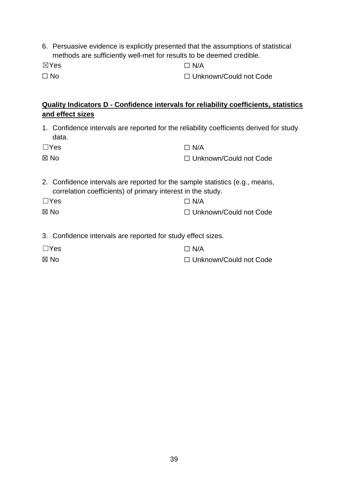6. Persuasive evidence is explicitly presented that the assumptions of statistical methods are sufficiently well-met for results to be deemed credible.

☒Yes

 $\Box$  No

 $\Box$  N/A

☐ Unknown/Could not Code

## **Quality Indicators D - Confidence intervals for reliability coefficients, statistics and effect sizes**

1. Confidence intervals are reported for the reliability coefficients derived for study data.

| $\Box$ Yes     | $\Box$ N/A               |
|----------------|--------------------------|
| $\boxtimes$ No | □ Unknown/Could not Code |

2. Confidence intervals are reported for the sample statistics (e.g., means, correlation coefficients) of primary interest in the study.

| $\Box$ Yes     | $\Box$ N/A               |
|----------------|--------------------------|
| $\boxtimes$ No | □ Unknown/Could not Code |

3. Confidence intervals are reported for study effect sizes.

| $\Box$ Yes | $\Box$ N/A               |
|------------|--------------------------|
| ⊠ No       | □ Unknown/Could not Code |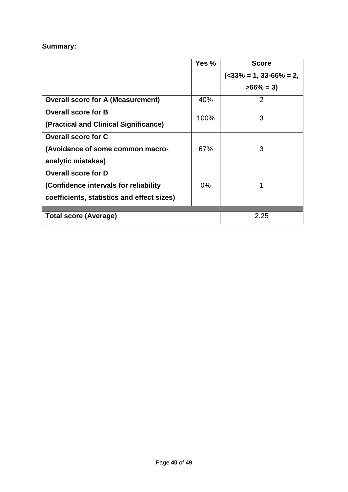## **Summary:**

|                                            | Yes % | <b>Score</b>              |
|--------------------------------------------|-------|---------------------------|
|                                            |       | $(33\% = 1, 33-66\% = 2,$ |
|                                            |       | $>66\% = 3$               |
| <b>Overall score for A (Measurement)</b>   | 40%   | 2                         |
| <b>Overall score for B</b>                 | 100%  | 3                         |
| (Practical and Clinical Significance)      |       |                           |
| <b>Overall score for C</b>                 |       |                           |
| (Avoidance of some common macro-           | 67%   | 3                         |
| analytic mistakes)                         |       |                           |
| <b>Overall score for D</b>                 |       |                           |
| (Confidence intervals for reliability      | 0%    |                           |
| coefficients, statistics and effect sizes) |       |                           |
| Total score (Average)                      |       | 2.25                      |
|                                            |       |                           |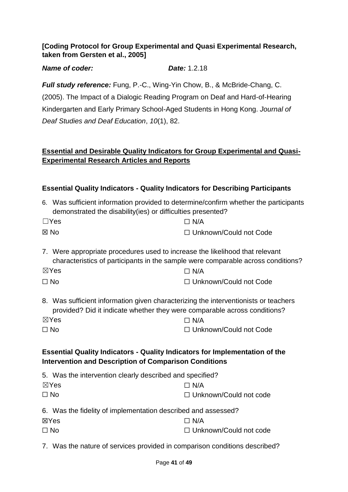## **[Coding Protocol for Group Experimental and Quasi Experimental Research, taken from Gersten et al., 2005]**

### *Name of coder: Date:* 1.2.18

*Full study reference:* Fung, P.-C., Wing-Yin Chow, B., & McBride-Chang, C. (2005). The Impact of a Dialogic Reading Program on Deaf and Hard-of-Hearing Kindergarten and Early Primary School-Aged Students in Hong Kong. *Journal of Deaf Studies and Deaf Education*, *10*(1), 82.

## **Essential and Desirable Quality Indicators for Group Experimental and Quasi-Experimental Research Articles and Reports**

| <b>Essential Quality Indicators - Quality Indicators for Describing Participants</b>                                                                             |                                                                                  |  |
|------------------------------------------------------------------------------------------------------------------------------------------------------------------|----------------------------------------------------------------------------------|--|
| 6. Was sufficient information provided to determine/confirm whether the participants<br>demonstrated the disability(ies) or difficulties presented?              |                                                                                  |  |
| $\Box$ Yes                                                                                                                                                       | $\Box$ N/A                                                                       |  |
| ⊠ No                                                                                                                                                             | $\Box$ Unknown/Could not Code                                                    |  |
| 7. Were appropriate procedures used to increase the likelihood that relevant                                                                                     | characteristics of participants in the sample were comparable across conditions? |  |
| $\boxtimes$ Yes                                                                                                                                                  | $\Box$ N/A                                                                       |  |
| $\square$ No                                                                                                                                                     | □ Unknown/Could not Code                                                         |  |
| 8. Was sufficient information given characterizing the interventionists or teachers<br>provided? Did it indicate whether they were comparable across conditions? |                                                                                  |  |
| $\boxtimes$ Yes                                                                                                                                                  | $\Box$ N/A                                                                       |  |
| $\Box$ No                                                                                                                                                        | □ Unknown/Could not Code                                                         |  |
| <b>Essential Quality Indicators - Quality Indicators for Implementation of the</b><br><b>Intervention and Description of Comparison Conditions</b>               |                                                                                  |  |
| 5. Was the intervention clearly described and specified?                                                                                                         |                                                                                  |  |
| $\boxtimes$ Yes                                                                                                                                                  | $\Box$ N/A                                                                       |  |
| $\Box$ No                                                                                                                                                        | $\Box$ Unknown/Could not code                                                    |  |
| 6. Was the fidelity of implementation described and assessed?                                                                                                    |                                                                                  |  |
| ⊠Yes                                                                                                                                                             | $\Box$ N/A                                                                       |  |
| $\Box$ No                                                                                                                                                        | $\Box$ Unknown/Could not code                                                    |  |

7. Was the nature of services provided in comparison conditions described?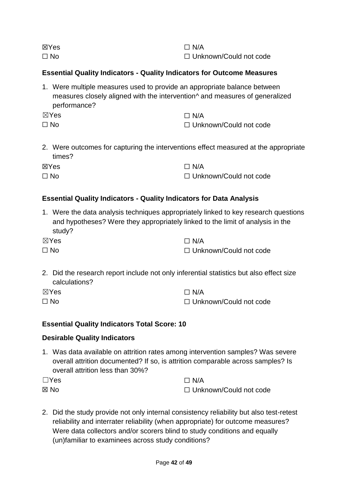| ⊠Yes      | $\Box$ N/A               |
|-----------|--------------------------|
| $\Box$ No | □ Unknown/Could not code |

## **Essential Quality Indicators - Quality Indicators for Outcome Measures**

- 1. Were multiple measures used to provide an appropriate balance between measures closely aligned with the intervention^ and measures of generalized performance?
- ☒Yes  $\Box$  No  $\Box$  N/A ☐ Unknown/Could not code
- 2. Were outcomes for capturing the interventions effect measured at the appropriate times?

| ⊠Yes      | $\Box$ N/A               |
|-----------|--------------------------|
| $\Box$ No | □ Unknown/Could not code |

## **Essential Quality Indicators - Quality Indicators for Data Analysis**

1. Were the data analysis techniques appropriately linked to key research questions and hypotheses? Were they appropriately linked to the limit of analysis in the study?

| $\boxtimes$ Yes | $\Box$ N/A               |
|-----------------|--------------------------|
| $\Box$ No       | □ Unknown/Could not code |

2. Did the research report include not only inferential statistics but also effect size calculations?

| $\boxtimes$ Yes | $\Box$ N/A               |
|-----------------|--------------------------|
| $\Box$ No       | □ Unknown/Could not code |

## **Essential Quality Indicators Total Score: 10**

#### **Desirable Quality Indicators**

1. Was data available on attrition rates among intervention samples? Was severe overall attrition documented? If so, is attrition comparable across samples? Is overall attrition less than 30%?

| $\Box$ Yes | $\Box$ N/A               |
|------------|--------------------------|
| ⊠ No       | □ Unknown/Could not code |

2. Did the study provide not only internal consistency reliability but also test-retest reliability and interrater reliability (when appropriate) for outcome measures? Were data collectors and/or scorers blind to study conditions and equally (un)familiar to examinees across study conditions?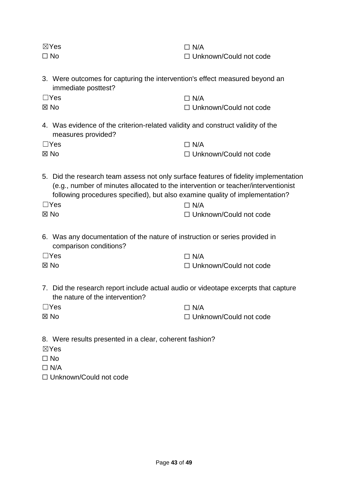| $\boxtimes$ Yes<br>$\Box$ No                                                                                                                                                                                                                                            | $\Box$ N/A<br>$\Box$ Unknown/Could not code |
|-------------------------------------------------------------------------------------------------------------------------------------------------------------------------------------------------------------------------------------------------------------------------|---------------------------------------------|
| 3. Were outcomes for capturing the intervention's effect measured beyond an<br>immediate posttest?                                                                                                                                                                      |                                             |
| $\Box$ Yes                                                                                                                                                                                                                                                              | $\Box$ N/A                                  |
| $\boxtimes$ No                                                                                                                                                                                                                                                          | □ Unknown/Could not code                    |
| 4. Was evidence of the criterion-related validity and construct validity of the<br>measures provided?                                                                                                                                                                   |                                             |
| $\Box$ Yes                                                                                                                                                                                                                                                              | $\Box$ N/A                                  |
| $\boxtimes$ No                                                                                                                                                                                                                                                          | □ Unknown/Could not code                    |
| 5. Did the research team assess not only surface features of fidelity implementation<br>(e.g., number of minutes allocated to the intervention or teacher/interventionist<br>following procedures specified), but also examine quality of implementation?<br>$\Box$ Yes | $\Box$ N/A                                  |
| ⊠ No                                                                                                                                                                                                                                                                    | $\Box$ Unknown/Could not code               |
| 6. Was any documentation of the nature of instruction or series provided in<br>comparison conditions?                                                                                                                                                                   |                                             |
| $\Box$ Yes                                                                                                                                                                                                                                                              | $\Box$ N/A                                  |
| ⊠ No                                                                                                                                                                                                                                                                    | $\Box$ Unknown/Could not code               |

- 7. Did the research report include actual audio or videotape excerpts that capture the nature of the intervention?
- ☐Yes ☒ No  $\square$  N/A ☐ Unknown/Could not code
- 8. Were results presented in a clear, coherent fashion?
- ☒Yes
- ☐ No
- $\Box$  N/A
- ☐ Unknown/Could not code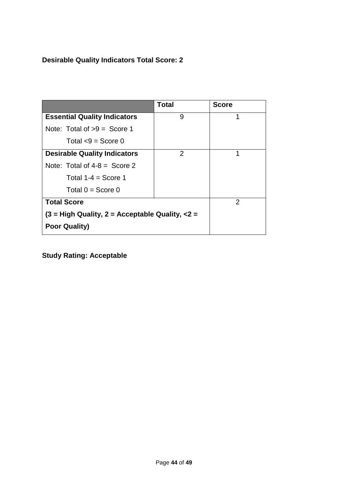# **Desirable Quality Indicators Total Score: 2**

|                                                 | <b>Total</b>   | <b>Score</b> |
|-------------------------------------------------|----------------|--------------|
| <b>Essential Quality Indicators</b>             | 9              | 1            |
| Note: Total of $>9$ = Score 1                   |                |              |
| Total $< 9$ = Score 0                           |                |              |
| <b>Desirable Quality Indicators</b>             | $\overline{2}$ | 1            |
| Note: Total of $4-8 =$ Score 2                  |                |              |
| Total $1-4 =$ Score 1                           |                |              |
| Total $0 =$ Score 0                             |                |              |
| <b>Total Score</b>                              |                | 2            |
| $(3 = High Quality, 2 = Acceptable Quality, <2$ |                |              |
| <b>Poor Quality)</b>                            |                |              |

**Study Rating: Acceptable**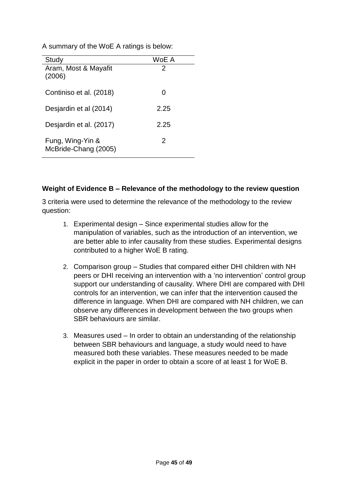| A summary of the WoE A ratings is below: |  |  |  |
|------------------------------------------|--|--|--|
|                                          |  |  |  |

| Study                                    | WoE A |
|------------------------------------------|-------|
| Aram, Most & Mayafit<br>(2006)           | 2     |
| Continiso et al. (2018)                  |       |
| Desjardin et al (2014)                   | 2.25  |
| Desjardin et al. (2017)                  | 2.25  |
| Fung, Wing-Yin &<br>McBride-Chang (2005) | 2     |

#### **Weight of Evidence B – Relevance of the methodology to the review question**

3 criteria were used to determine the relevance of the methodology to the review question:

- 1. Experimental design Since experimental studies allow for the manipulation of variables, such as the introduction of an intervention, we are better able to infer causality from these studies. Experimental designs contributed to a higher WoE B rating.
- 2. Comparison group Studies that compared either DHI children with NH peers or DHI receiving an intervention with a 'no intervention' control group support our understanding of causality. Where DHI are compared with DHI controls for an intervention, we can infer that the intervention caused the difference in language. When DHI are compared with NH children, we can observe any differences in development between the two groups when SBR behaviours are similar.
- 3. Measures used In order to obtain an understanding of the relationship between SBR behaviours and language, a study would need to have measured both these variables. These measures needed to be made explicit in the paper in order to obtain a score of at least 1 for WoE B.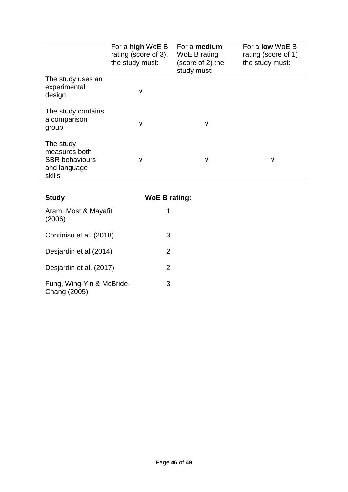|                                                                               | For a high WoE B<br>rating (score of 3),<br>the study must: | For a medium<br>WoE B rating<br>(score of 2) the<br>study must: | For a <b>low</b> WoE B<br>rating (score of 1)<br>the study must: |
|-------------------------------------------------------------------------------|-------------------------------------------------------------|-----------------------------------------------------------------|------------------------------------------------------------------|
| The study uses an<br>experimental<br>design                                   | V                                                           |                                                                 |                                                                  |
| The study contains<br>a comparison<br>group                                   | V                                                           | V                                                               |                                                                  |
| The study<br>measures both<br><b>SBR</b> behaviours<br>and language<br>skills | V                                                           | V                                                               | V                                                                |

| <b>Study</b>                              | <b>WoE B rating:</b> |
|-------------------------------------------|----------------------|
| Aram, Most & Mayafit<br>(2006)            | 1                    |
| Continiso et al. (2018)                   | 3                    |
| Desjardin et al (2014)                    | 2                    |
| Desjardin et al. (2017)                   | 2                    |
| Fung, Wing-Yin & McBride-<br>Chang (2005) | 3                    |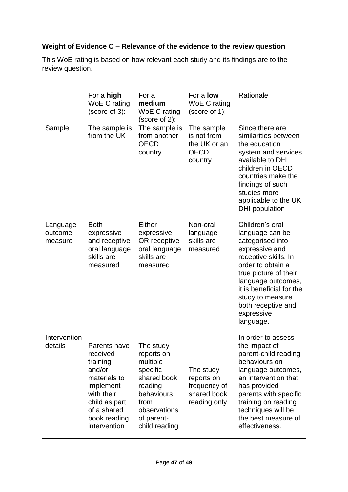## **Weight of Evidence C – Relevance of the evidence to the review question**

This WoE rating is based on how relevant each study and its findings are to the review question.

|                                | For a high<br>WoE C rating<br>(score of 3):                                                                                                               | For a<br>medium<br>WoE C rating<br>(score of 2):                                                                                               | For a <b>low</b><br>WoE C rating<br>(score of 1):                      | Rationale                                                                                                                                                                                                                                                             |
|--------------------------------|-----------------------------------------------------------------------------------------------------------------------------------------------------------|------------------------------------------------------------------------------------------------------------------------------------------------|------------------------------------------------------------------------|-----------------------------------------------------------------------------------------------------------------------------------------------------------------------------------------------------------------------------------------------------------------------|
| Sample                         | The sample is<br>from the UK                                                                                                                              | The sample is<br>from another<br><b>OECD</b><br>country                                                                                        | The sample<br>is not from<br>the UK or an<br><b>OECD</b><br>country    | Since there are<br>similarities between<br>the education<br>system and services<br>available to DHI<br>children in OECD<br>countries make the<br>findings of such<br>studies more<br>applicable to the UK<br>DHI population                                           |
| Language<br>outcome<br>measure | <b>Both</b><br>expressive<br>and receptive<br>oral language<br>skills are<br>measured                                                                     | Either<br>expressive<br>OR receptive<br>oral language<br>skills are<br>measured                                                                | Non-oral<br>language<br>skills are<br>measured                         | Children's oral<br>language can be<br>categorised into<br>expressive and<br>receptive skills. In<br>order to obtain a<br>true picture of their<br>language outcomes,<br>it is beneficial for the<br>study to measure<br>both receptive and<br>expressive<br>language. |
| Intervention<br>details        | Parents have<br>received<br>training<br>and/or<br>materials to<br>implement<br>with their<br>child as part<br>of a shared<br>book reading<br>intervention | The study<br>reports on<br>multiple<br>specific<br>shared book<br>reading<br>behaviours<br>from<br>observations<br>of parent-<br>child reading | The study<br>reports on<br>frequency of<br>shared book<br>reading only | In order to assess<br>the impact of<br>parent-child reading<br>behaviours on<br>language outcomes,<br>an intervention that<br>has provided<br>parents with specific<br>training on reading<br>techniques will be<br>the best measure of<br>effectiveness.             |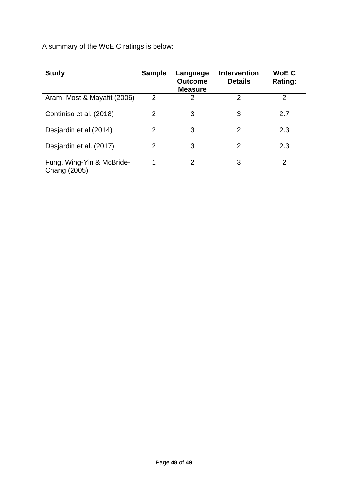A summary of the WoE C ratings is below:

| <b>Study</b>                              | <b>Sample</b>  | Language<br><b>Outcome</b><br><b>Measure</b> | <b>Intervention</b><br><b>Details</b> | <b>WoE C</b><br>Rating: |
|-------------------------------------------|----------------|----------------------------------------------|---------------------------------------|-------------------------|
| Aram, Most & Mayafit (2006)               | $\overline{2}$ | 2                                            | $\overline{2}$                        | 2                       |
| Continiso et al. (2018)                   | 2              | 3                                            | 3                                     | 2.7                     |
| Desjardin et al (2014)                    | 2              | 3                                            | 2                                     | 2.3                     |
| Desjardin et al. (2017)                   | 2              | 3                                            | 2                                     | 2.3                     |
| Fung, Wing-Yin & McBride-<br>Chang (2005) | 1              | 2                                            | 3                                     | 2                       |